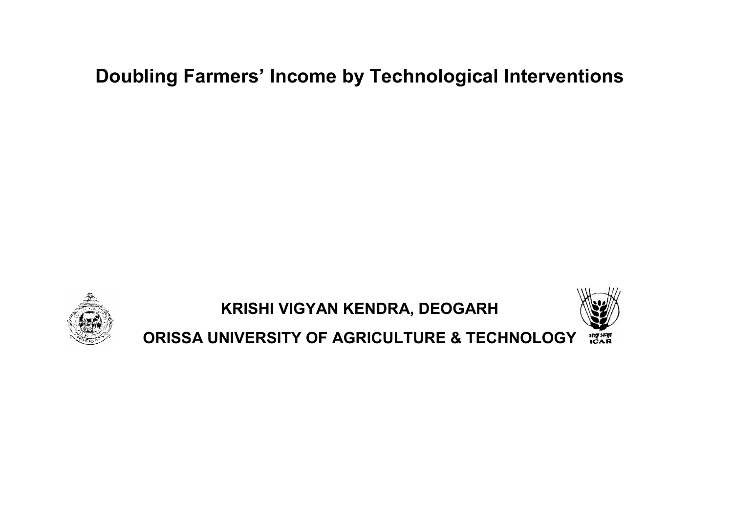## Doubling Farmers' Income by Technological Interventions Doubling Farmers' Income by Technolo<br>KRISHI VIGYAN KENDRA, DEO<br>© ORISSA UNIVERSITY OF AGRICULTURE



KRISHI VIGYAN KENDRA, DEOGARH



ORISSA UNIVERSITY OF AGRICULTURE & TECHNOLOGY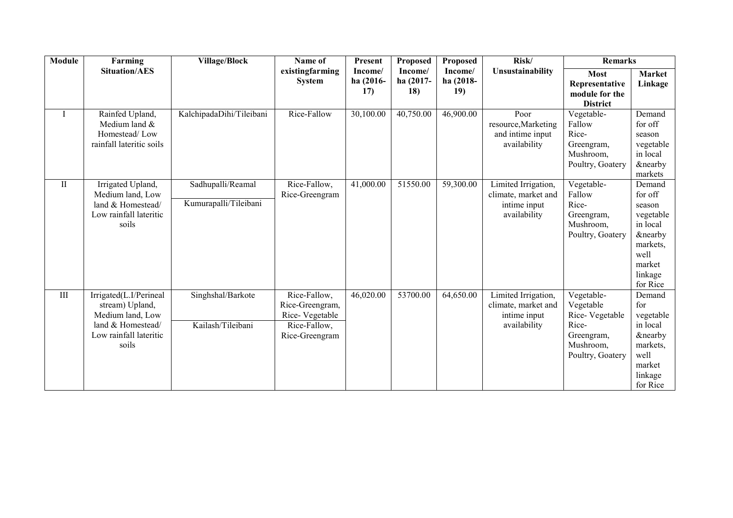| <b>Module</b> | Farming                                                                                                               | <b>Village/Block</b>                       | Name of                                                                             | Present                     | <b>Proposed</b>             | <b>Proposed</b>             | Risk/                                                                      | <b>Remarks</b>                                                                                    |                                                                                                                                 |
|---------------|-----------------------------------------------------------------------------------------------------------------------|--------------------------------------------|-------------------------------------------------------------------------------------|-----------------------------|-----------------------------|-----------------------------|----------------------------------------------------------------------------|---------------------------------------------------------------------------------------------------|---------------------------------------------------------------------------------------------------------------------------------|
|               | <b>Situation/AES</b>                                                                                                  |                                            | existingfarming<br><b>System</b>                                                    | Income/<br>ha (2016-<br>17) | Income/<br>ha (2017-<br>18) | Income/<br>ha (2018-<br>19) | Unsustainability                                                           | <b>Most</b><br>Representative<br>module for the<br><b>District</b>                                | Market<br>Linkage                                                                                                               |
| $\bf{I}$      | Rainfed Upland,<br>Medium land &<br>Homestead/Low<br>rainfall lateritic soils                                         | KalchipadaDihi/Tileibani                   | Rice-Fallow                                                                         | 30,100.00                   | 40,750.00                   | 46,900.00                   | Poor<br>resource, Marketing<br>and intime input<br>availability            | Vegetable-<br>Fallow<br>Rice-<br>Greengram,<br>Mushroom,<br>Poultry, Goatery                      | Demand<br>for off<br>season<br>vegetable<br>in local<br><b>&amp;nearby</b><br>markets                                           |
| $\rm II$      | Irrigated Upland,<br>Medium land, Low<br>land & Homestead/<br>Low rainfall lateritic<br>soils                         | Sadhupalli/Reamal<br>Kumurapalli/Tileibani | Rice-Fallow,<br>Rice-Greengram                                                      | 41,000.00                   | 51550.00                    | 59,300.00                   | Limited Irrigation,<br>climate, market and<br>intime input<br>availability | Vegetable-<br>Fallow<br>Rice-<br>Greengram,<br>Mushroom,<br>Poultry, Goatery                      | Demand<br>for off<br>season<br>vegetable<br>in local<br><b>&amp;nearby</b><br>markets,<br>well<br>market<br>linkage<br>for Rice |
| III           | Irrigated(L.I/Perineal<br>stream) Upland,<br>Medium land, Low<br>land & Homestead/<br>Low rainfall lateritic<br>soils | Singhshal/Barkote<br>Kailash/Tileibani     | Rice-Fallow,<br>Rice-Greengram,<br>Rice-Vegetable<br>Rice-Fallow,<br>Rice-Greengram | 46,020.00                   | 53700.00                    | 64,650.00                   | Limited Irrigation,<br>climate, market and<br>intime input<br>availability | Vegetable-<br>Vegetable<br>Rice-Vegetable<br>Rice-<br>Greengram,<br>Mushroom,<br>Poultry, Goatery | Demand<br>for<br>vegetable<br>in local<br><b>&amp;nearby</b><br>markets,<br>well<br>market<br>linkage<br>for Rice               |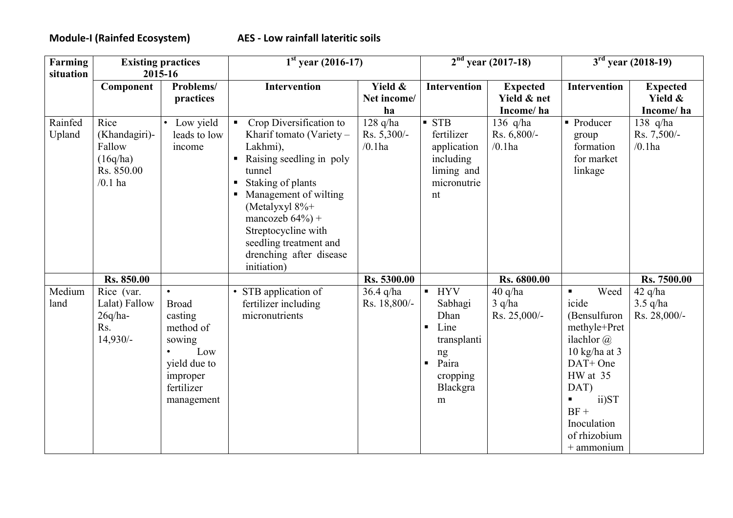| <b>Farming</b>    | <b>Existing practices</b>                                              |                                                                                                                            | $1st$ year (2016-17)                                                                                                                                                                                                                                                                                          |                                        | $2nd$ year (2017-18)                                                                                                                                   | $3rd$ year (2018-19)                        |                                                                                                                                                                                      |                                         |
|-------------------|------------------------------------------------------------------------|----------------------------------------------------------------------------------------------------------------------------|---------------------------------------------------------------------------------------------------------------------------------------------------------------------------------------------------------------------------------------------------------------------------------------------------------------|----------------------------------------|--------------------------------------------------------------------------------------------------------------------------------------------------------|---------------------------------------------|--------------------------------------------------------------------------------------------------------------------------------------------------------------------------------------|-----------------------------------------|
| situation         |                                                                        | 2015-16                                                                                                                    |                                                                                                                                                                                                                                                                                                               |                                        |                                                                                                                                                        |                                             |                                                                                                                                                                                      |                                         |
|                   | Component                                                              | Problems/<br>practices                                                                                                     | Intervention                                                                                                                                                                                                                                                                                                  | Yield &<br>Net income/<br>ha           | Intervention                                                                                                                                           | <b>Expected</b><br>Yield & net<br>Income/ha | Intervention                                                                                                                                                                         | <b>Expected</b><br>Yield &<br>Income/ha |
| Rainfed<br>Upland | Rice<br>(Khandagiri)-<br>Fallow<br>(16q/ha)<br>Rs. 850.00<br>$/0.1$ ha | Low yield<br>leads to low<br>income                                                                                        | Crop Diversification to<br>$\mathbf{u}$ .<br>Kharif tomato (Variety –<br>Lakhmi),<br>Raising seedling in poly<br>tunnel<br>Staking of plants<br>Management of wilting<br>(Metalyxyl $8\%$ +<br>mancozeb $64\%$ ) +<br>Streptocycline with<br>seedling treatment and<br>drenching after disease<br>initiation) | $128$ q/ha<br>Rs. 5,300/-<br>$/0.1$ ha | $\blacksquare$ STB<br>fertilizer<br>application<br>including<br>liming and<br>micronutrie<br>nt                                                        | 136 $q/ha$<br>Rs. 6,800/-<br>$/0.1$ ha      | • Producer<br>group<br>formation<br>for market<br>linkage                                                                                                                            | 138 q/ha<br>Rs. 7,500/-<br>$/0.1$ ha    |
|                   | Rs. 850.00                                                             |                                                                                                                            |                                                                                                                                                                                                                                                                                                               | Rs. 5300.00                            |                                                                                                                                                        | Rs. 6800.00                                 |                                                                                                                                                                                      | Rs. 7500.00                             |
| Medium<br>land    | Rice (var.<br>Lalat) Fallow<br>$26q/ha-$<br>Rs.<br>$14,930/-$          | $\bullet$<br><b>Broad</b><br>casting<br>method of<br>sowing<br>Low<br>yield due to<br>improper<br>fertilizer<br>management | STB application of<br>fertilizer including<br>micronutrients                                                                                                                                                                                                                                                  | $36.4$ q/ha<br>Rs. 18,800/-            | <b>HYV</b><br>$\blacksquare$<br>Sabhagi<br>Dhan<br>Line<br>$\blacksquare$<br>transplanti<br>ng<br>Paira<br>$\blacksquare$<br>cropping<br>Blackgra<br>m | $40$ q/ha<br>$3$ q/ha<br>Rs. 25,000/-       | Weed<br>icide<br>(Bensulfuron<br>methyle+Pret<br>ilachlor $(a)$<br>10 kg/ha at $3$<br>DAT+ One<br>HW at 35<br>DAT)<br>ii)ST<br>$BF +$<br>Inoculation<br>of rhizobium<br>$+$ ammonium | $42$ q/ha<br>$3.5$ q/ha<br>Rs. 28,000/- |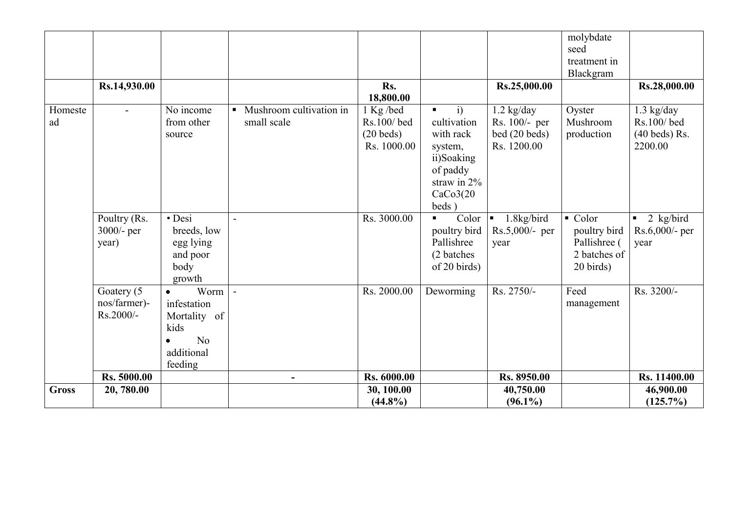|               |                                         |                                                                                                     |                                                          |                                                      |                                                                                                      |                                                               | molybdate<br>seed                                                                 |                                                          |
|---------------|-----------------------------------------|-----------------------------------------------------------------------------------------------------|----------------------------------------------------------|------------------------------------------------------|------------------------------------------------------------------------------------------------------|---------------------------------------------------------------|-----------------------------------------------------------------------------------|----------------------------------------------------------|
|               |                                         |                                                                                                     |                                                          |                                                      |                                                                                                      |                                                               | treatment in                                                                      |                                                          |
|               |                                         |                                                                                                     |                                                          | Rs.                                                  |                                                                                                      |                                                               | Blackgram                                                                         |                                                          |
|               | Rs.14,930.00                            |                                                                                                     |                                                          | 18,800.00                                            |                                                                                                      | Rs.25,000.00                                                  |                                                                                   | Rs.28,000.00                                             |
| Homeste<br>ad | $\overline{a}$                          | No income<br>from other<br>source                                                                   | Mushroom cultivation in<br>$\blacksquare$<br>small scale | 1 Kg/bed<br>Rs.100/bed<br>$(20$ beds)<br>Rs. 1000.00 | i)<br>$\blacksquare$<br>cultivation<br>with rack<br>system,<br>ii)Soaking<br>of paddy<br>straw in 2% | $1.2$ kg/day<br>Rs. 100/- per<br>bed (20 beds)<br>Rs. 1200.00 | Oyster<br>Mushroom<br>production                                                  | $1.3$ kg/day<br>Rs.100/bed<br>$(40$ beds) Rs.<br>2200.00 |
|               |                                         |                                                                                                     |                                                          |                                                      | CaCo3(20)<br>beds)                                                                                   |                                                               |                                                                                   |                                                          |
|               | Poultry (Rs.<br>3000/- per<br>year)     | · Desi<br>breeds, low<br>egg lying<br>and poor<br>body<br>growth                                    | $\overline{a}$                                           | Rs. 3000.00                                          | Color<br>poultry bird<br>Pallishree<br>(2 batches)<br>of 20 birds)                                   | 1.8kg/bird<br>Rs.5,000/- per<br>year                          | $\blacksquare$ Color<br>poultry bird<br>Pallishree (<br>2 batches of<br>20 birds) | 2 kg/bird<br>Rs.6,000/- per<br>year                      |
|               | Goatery (5<br>nos/farmer)-<br>Rs.2000/- | Worm<br>$\bullet$<br>infestation<br>Mortality of<br>kids<br>N <sub>0</sub><br>additional<br>feeding | $\overline{\phantom{a}}$                                 | Rs. 2000.00                                          | Deworming                                                                                            | Rs. 2750/-                                                    | Feed<br>management                                                                | Rs. 3200/-                                               |
|               | Rs. 5000.00                             |                                                                                                     |                                                          | Rs. 6000.00                                          |                                                                                                      | Rs. 8950.00                                                   |                                                                                   | Rs. 11400.00                                             |
| <b>Gross</b>  | 20,780.00                               |                                                                                                     |                                                          | 30, 100.00<br>$(44.8\%)$                             |                                                                                                      | 40,750.00<br>$(96.1\%)$                                       |                                                                                   | 46,900.00<br>$(125.7\%)$                                 |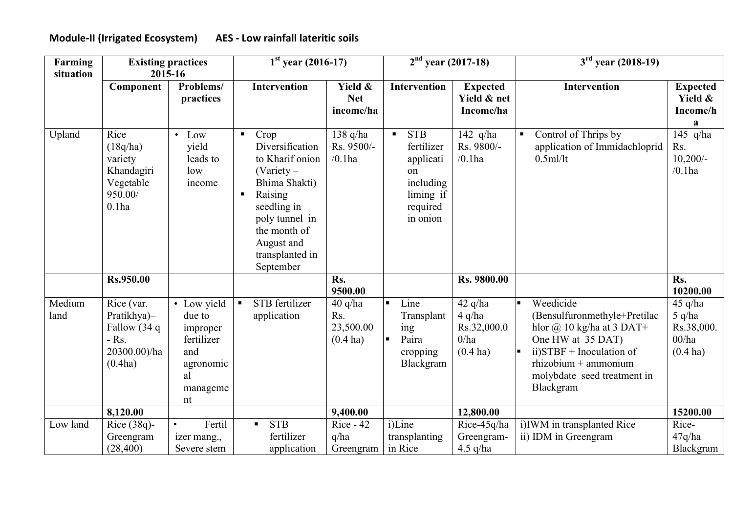## Module-II (Irrigated Ecosystem) AES - Low rainfall lateritic soils

| Farming        | <b>Existing practices</b>                                                       |                                                                                             | $1st$ year (2016-17)                                                                                                                                                                                                    |                                             | $2nd$ year (2017-18)                                                                                            |                                                            | $3rd$ year (2018-19)                                                                                                                                                                                                  |                                                          |  |
|----------------|---------------------------------------------------------------------------------|---------------------------------------------------------------------------------------------|-------------------------------------------------------------------------------------------------------------------------------------------------------------------------------------------------------------------------|---------------------------------------------|-----------------------------------------------------------------------------------------------------------------|------------------------------------------------------------|-----------------------------------------------------------------------------------------------------------------------------------------------------------------------------------------------------------------------|----------------------------------------------------------|--|
| situation      | Component                                                                       | 2015-16<br>Problems/<br>practices                                                           | Intervention                                                                                                                                                                                                            | Yield &<br><b>Net</b><br>income/ha          | Intervention                                                                                                    | <b>Expected</b><br>Yield & net<br>Income/ha                | <b>Intervention</b>                                                                                                                                                                                                   | <b>Expected</b><br>Yield &<br>Income/h                   |  |
| Upland         | Rice<br>(18q/ha)<br>variety<br>Khandagiri<br>Vegetable<br>950.00/<br>$0.1$ ha   | $\bullet$ Low<br>vield<br>leads to<br>low<br>income                                         | Crop<br>$\blacksquare$<br>Diversification<br>to Kharif onion<br>(Variety –<br>Bhima Shakti)<br>Raising<br>$\blacksquare$<br>seedling in<br>poly tunnel in<br>the month of<br>August and<br>transplanted in<br>September | 138 q/ha<br>Rs. 9500/-<br>$/0.1$ ha         | <b>STB</b><br>$\blacksquare$<br>fertilizer<br>applicati<br>on<br>including<br>liming if<br>required<br>in onion | 142 $q/ha$<br>Rs. 9800/-<br>$/0.1$ ha                      | Control of Thrips by<br>$\blacksquare$<br>application of Immidachloprid<br>$0.5$ ml/lt                                                                                                                                | a<br>145 q/ha<br>Rs.<br>$10,200/-$<br>$/0.1$ ha          |  |
|                | Rs.950.00                                                                       |                                                                                             |                                                                                                                                                                                                                         | Rs.<br>9500.00                              |                                                                                                                 | Rs. 9800.00                                                |                                                                                                                                                                                                                       | Rs.<br>10200.00                                          |  |
| Medium<br>land | Rice (var.<br>Pratikhya)-<br>Fallow (34 q<br>$-Rs$ .<br>20300.00)/ha<br>(0.4ha) | • Low yield<br>due to<br>improper<br>fertilizer<br>and<br>agronomic<br>al<br>manageme<br>nt | STB fertilizer<br>П<br>application                                                                                                                                                                                      | $40$ q/ha<br>Rs.<br>23,500.00<br>$(0.4$ ha) | Line<br>٠<br>Transplant<br>ing<br>Paira<br>cropping<br>Blackgram                                                | $42$ q/ha<br>$4$ q/ha<br>Rs.32,000.0<br>0/ha<br>$(0.4$ ha) | Weedicide<br>(Bensulfuronmethyle+Pretilac<br>hlor $\omega$ 10 kg/ha at 3 DAT+<br>One HW at 35 DAT)<br>$ii)$ STBF + Inoculation of<br>$\text{rhizobium} + \text{ammonium}$<br>molybdate seed treatment in<br>Blackgram | 45 q/ha<br>$5$ q/ha<br>Rs.38,000.<br>00/ha<br>$(0.4$ ha) |  |
|                | 8,120.00                                                                        |                                                                                             |                                                                                                                                                                                                                         | 9,400.00                                    |                                                                                                                 | 12,800.00                                                  |                                                                                                                                                                                                                       | 15200.00                                                 |  |
| Low land       | Rice $(38q)$ -<br>Greengram<br>(28, 400)                                        | Fertil<br>$\bullet$<br>izer mang.,<br>Severe stem                                           | <b>STB</b><br>fertilizer<br>application                                                                                                                                                                                 | $Rice - 42$<br>q/ha<br>Greengram            | i)Line<br>transplanting<br>in Rice                                                                              | Rice-45q/ha<br>Greengram-<br>4.5 $q/ha$                    | i)IWM in transplanted Rice<br>ii) IDM in Greengram                                                                                                                                                                    | Rice-<br>47q/ha<br>Blackgram                             |  |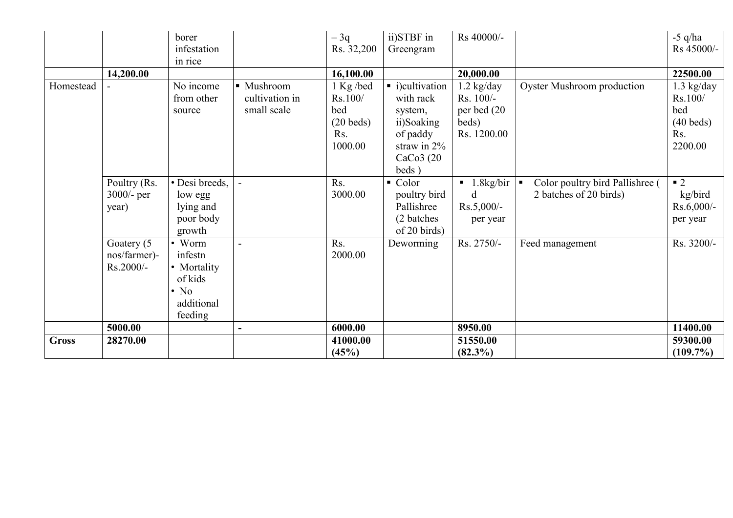|              |                                         | borer<br>infestation                                                               |                                             | $-3q$<br>Rs. 32,200                                                      | ii)STBF in<br>Greengram                                                                                   | Rs 40000/-                                                               |                                                           | $-5$ q/ha<br>Rs 45000/-                                                      |
|--------------|-----------------------------------------|------------------------------------------------------------------------------------|---------------------------------------------|--------------------------------------------------------------------------|-----------------------------------------------------------------------------------------------------------|--------------------------------------------------------------------------|-----------------------------------------------------------|------------------------------------------------------------------------------|
|              |                                         | in rice                                                                            |                                             |                                                                          |                                                                                                           |                                                                          |                                                           |                                                                              |
|              | 14,200.00                               |                                                                                    |                                             | 16,100.00                                                                |                                                                                                           | 20,000.00                                                                |                                                           | 22500.00                                                                     |
| Homestead    |                                         | No income<br>from other<br>source                                                  | • Mushroom<br>cultivation in<br>small scale | 1 Kg/bed<br>Rs.100/<br>bed<br>$(20$ beds)<br>R <sub>S</sub> .<br>1000.00 | • i)cultivation<br>with rack<br>system,<br>ii)Soaking<br>of paddy<br>straw in $2\%$<br>CaCo3(20)<br>beds) | $1.2$ kg/day<br>Rs. 100/-<br>per bed (20<br>beds)<br>Rs. 1200.00         | <b>Oyster Mushroom production</b>                         | $1.3$ kg/day<br>Rs.100/<br>bed<br>$(40$ beds)<br>R <sub>s</sub> .<br>2200.00 |
|              | Poultry (Rs.<br>$3000/-$ per<br>year)   | • Desi breeds,<br>low egg<br>lying and<br>poor body<br>growth                      |                                             | Rs.<br>3000.00                                                           | $\bullet$ Color<br>poultry bird<br>Pallishree<br>(2 batches)<br>of 20 birds)                              | $\blacksquare$ 1.8kg/bir $\blacksquare$<br>d<br>$Rs.5,000/-$<br>per year | Color poultry bird Pallishree (<br>2 batches of 20 birds) | $\blacksquare$ 2<br>kg/bird<br>$Rs.6,000/-$<br>per year                      |
|              | Goatery (5<br>nos/farmer)-<br>Rs.2000/- | • Worm<br>infestn<br>• Mortality<br>of kids<br>$\cdot$ No<br>additional<br>feeding | $\blacksquare$                              | Rs.<br>2000.00                                                           | Deworming                                                                                                 | Rs. 2750/-                                                               | Feed management                                           | Rs. 3200/-                                                                   |
|              | 5000.00                                 |                                                                                    |                                             | 6000.00                                                                  |                                                                                                           | 8950.00                                                                  |                                                           | 11400.00                                                                     |
| <b>Gross</b> | 28270.00                                |                                                                                    |                                             | 41000.00<br>(45%)                                                        |                                                                                                           | 51550.00<br>$(82.3\%)$                                                   |                                                           | 59300.00<br>$(109.7\%)$                                                      |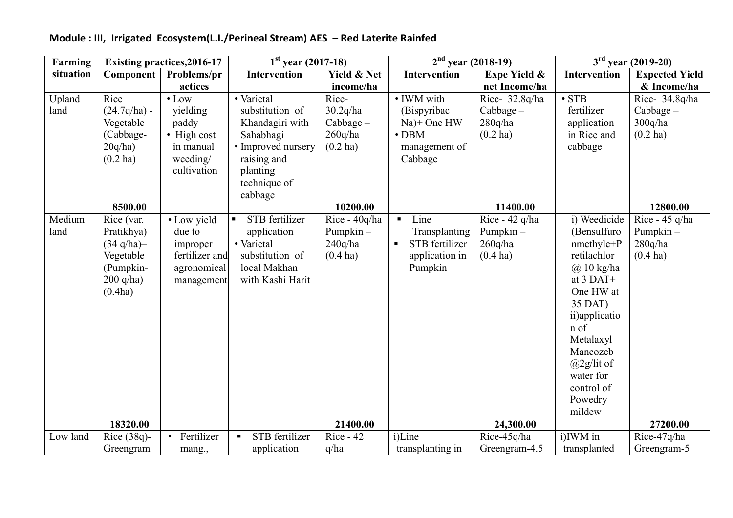| Farming   |                       | <b>Existing practices, 2016-17</b> | $1st$ year (2017-18)             |                        | $2nd$ year (2018-19)             |                         | $3rd$ year (2019-20)  |                       |  |
|-----------|-----------------------|------------------------------------|----------------------------------|------------------------|----------------------------------|-------------------------|-----------------------|-----------------------|--|
| situation | Component             | Problems/pr                        | Intervention                     | <b>Yield &amp; Net</b> | Intervention                     | <b>Expe Yield &amp;</b> | <b>Intervention</b>   | <b>Expected Yield</b> |  |
|           |                       | actices                            |                                  | income/ha              |                                  | net Income/ha           |                       | & Income/ha           |  |
| Upland    | Rice                  | $\bullet$ Low                      | • Varietal                       | Rice-                  | • IWM with                       | Rice- 32.8q/ha          | $\overline{\cdot$ STB | Rice- 34.8q/ha        |  |
| land      | $(24.7q/ha)$ -        | yielding                           | substitution of                  | 30.2q/ha               | (Bispyribac)                     | $Cabbage -$             | fertilizer            | $Cabbage -$           |  |
|           | Vegetable             | paddy                              | Khandagiri with                  | $Cabbage -$            | Na)+ One HW                      | 280q/ha                 | application           | 300q/ha               |  |
|           | (Cabbage-             | • High cost                        | Sahabhagi                        | 260q/ha                | $\cdot$ DBM                      | $(0.2$ ha)              | in Rice and           | $(0.2$ ha)            |  |
|           | 20q/ha)               | in manual                          | · Improved nursery               | $(0.2$ ha)             | management of                    |                         | cabbage               |                       |  |
|           | $(0.2$ ha)            | weeding/                           | raising and                      |                        | Cabbage                          |                         |                       |                       |  |
|           |                       | cultivation                        | planting                         |                        |                                  |                         |                       |                       |  |
|           |                       |                                    | technique of                     |                        |                                  |                         |                       |                       |  |
|           |                       |                                    | cabbage                          |                        |                                  |                         |                       |                       |  |
|           | 8500.00               |                                    |                                  | 10200.00               |                                  | 11400.00                |                       | 12800.00              |  |
| Medium    | Rice (var.            | • Low yield                        | STB fertilizer<br>$\blacksquare$ | Rice - 40q/ha          | Line<br>$\blacksquare$           | Rice - $42$ q/ha        | i) Weedicide          | Rice - 45 q/ha        |  |
| land      | Pratikhya)            | due to                             | application                      | Pumpkin-               | Transplanting                    | Pumpkin-                | (Bensulfuro           | Pumpkin-              |  |
|           | $(34 \text{ q/ha})$ - | improper                           | • Varietal                       | 240q/ha                | STB fertilizer<br>$\blacksquare$ | 260q/ha                 | nmethyle+P            | 280q/ha               |  |
|           | Vegetable             | fertilizer and                     | substitution of                  | $(0.4$ ha)             | application in                   | $(0.4$ ha)              | retilachlor           | $(0.4 \text{ ha})$    |  |
|           | (Pumpkin-             | agronomical                        | local Makhan                     |                        | Pumpkin                          |                         | $(a)$ 10 kg/ha        |                       |  |
|           | $200$ q/ha)           | management                         | with Kashi Harit                 |                        |                                  |                         | at $3$ DAT+           |                       |  |
|           | (0.4ha)               |                                    |                                  |                        |                                  |                         | One HW at             |                       |  |
|           |                       |                                    |                                  |                        |                                  |                         | 35 DAT)               |                       |  |
|           |                       |                                    |                                  |                        |                                  |                         | ii) applicatio        |                       |  |
|           |                       |                                    |                                  |                        |                                  |                         | n of                  |                       |  |
|           |                       |                                    |                                  |                        |                                  |                         | Metalaxyl             |                       |  |
|           |                       |                                    |                                  |                        |                                  |                         | Mancozeb              |                       |  |
|           |                       |                                    |                                  |                        |                                  |                         | $(a)$ 2g/lit of       |                       |  |
|           |                       |                                    |                                  |                        |                                  |                         | water for             |                       |  |
|           |                       |                                    |                                  |                        |                                  |                         | control of            |                       |  |
|           |                       |                                    |                                  |                        |                                  |                         | Powedry               |                       |  |
|           |                       |                                    |                                  |                        |                                  |                         | mildew                |                       |  |
|           | 18320.00              |                                    |                                  | 21400.00               |                                  | 24,300.00               |                       | 27200.00              |  |
| Low land  | Rice $(38q)$ -        | Fertilizer<br>$\bullet$            | STB fertilizer                   | $Rice - 42$            | i)Line                           | Rice-45q/ha             | i)IWM in              | Rice-47q/ha           |  |
|           | Greengram             | mang.,                             | application                      | q/ha                   | transplanting in                 | Greengram-4.5           | transplanted          | Greengram-5           |  |

## Module : III, Irrigated Ecosystem(L.I./Perineal Stream) AES – Red Laterite Rainfed